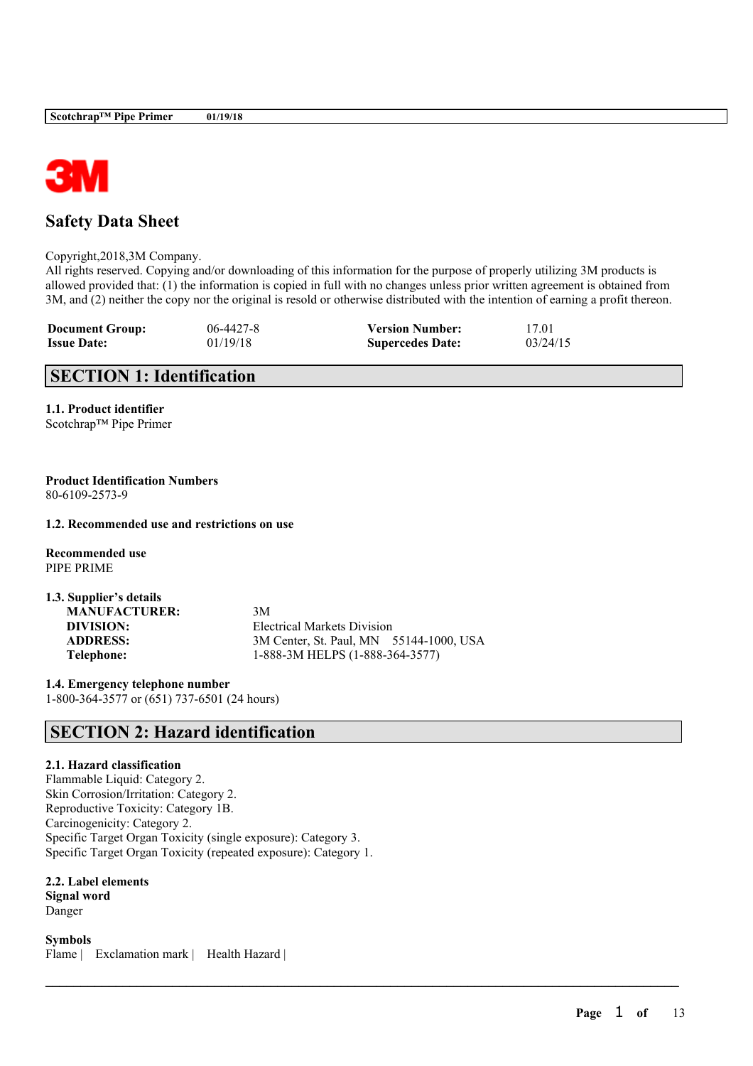

# **Safety Data Sheet**

Copyright,2018,3M Company.

All rights reserved. Copying and/or downloading of this information for the purpose of properly utilizing 3M products is allowed provided that: (1) the information is copied in full with no changes unless prior written agreement is obtained from 3M, and (2) neither the copy nor the original is resold or otherwise distributed with the intention of earning a profit thereon.

 $\mathcal{L}_\mathcal{L} = \mathcal{L}_\mathcal{L} = \mathcal{L}_\mathcal{L} = \mathcal{L}_\mathcal{L} = \mathcal{L}_\mathcal{L} = \mathcal{L}_\mathcal{L} = \mathcal{L}_\mathcal{L} = \mathcal{L}_\mathcal{L} = \mathcal{L}_\mathcal{L} = \mathcal{L}_\mathcal{L} = \mathcal{L}_\mathcal{L} = \mathcal{L}_\mathcal{L} = \mathcal{L}_\mathcal{L} = \mathcal{L}_\mathcal{L} = \mathcal{L}_\mathcal{L} = \mathcal{L}_\mathcal{L} = \mathcal{L}_\mathcal{L}$ 

| <b>Document Group:</b> | $06 - 4427 - 8$ | <b>Version Number:</b>  | 17.01    |
|------------------------|-----------------|-------------------------|----------|
| <b>Issue Date:</b>     | 01/19/18        | <b>Supercedes Date:</b> | 03/24/15 |

# **SECTION 1: Identification**

**1.1. Product identifier** Scotchrap™ Pipe Primer

### **Product Identification Numbers** 80-6109-2573-9

## **1.2. Recommended use and restrictions on use**

**Recommended use** PIPE PRIME

| 1.3. Supplier's details |                                         |  |
|-------------------------|-----------------------------------------|--|
| <b>MANUFACTURER:</b>    | 3M                                      |  |
| DIVISION:               | Electrical Markets Division             |  |
| <b>ADDRESS:</b>         | 3M Center, St. Paul, MN 55144-1000, USA |  |
| Telephone:              | 1-888-3M HELPS (1-888-364-3577)         |  |

**1.4. Emergency telephone number** 1-800-364-3577 or (651) 737-6501 (24 hours)

# **SECTION 2: Hazard identification**

# **2.1. Hazard classification**

Flammable Liquid: Category 2. Skin Corrosion/Irritation: Category 2. Reproductive Toxicity: Category 1B. Carcinogenicity: Category 2. Specific Target Organ Toxicity (single exposure): Category 3. Specific Target Organ Toxicity (repeated exposure): Category 1.

**2.2. Label elements Signal word** Danger

**Symbols** Flame | Exclamation mark | Health Hazard |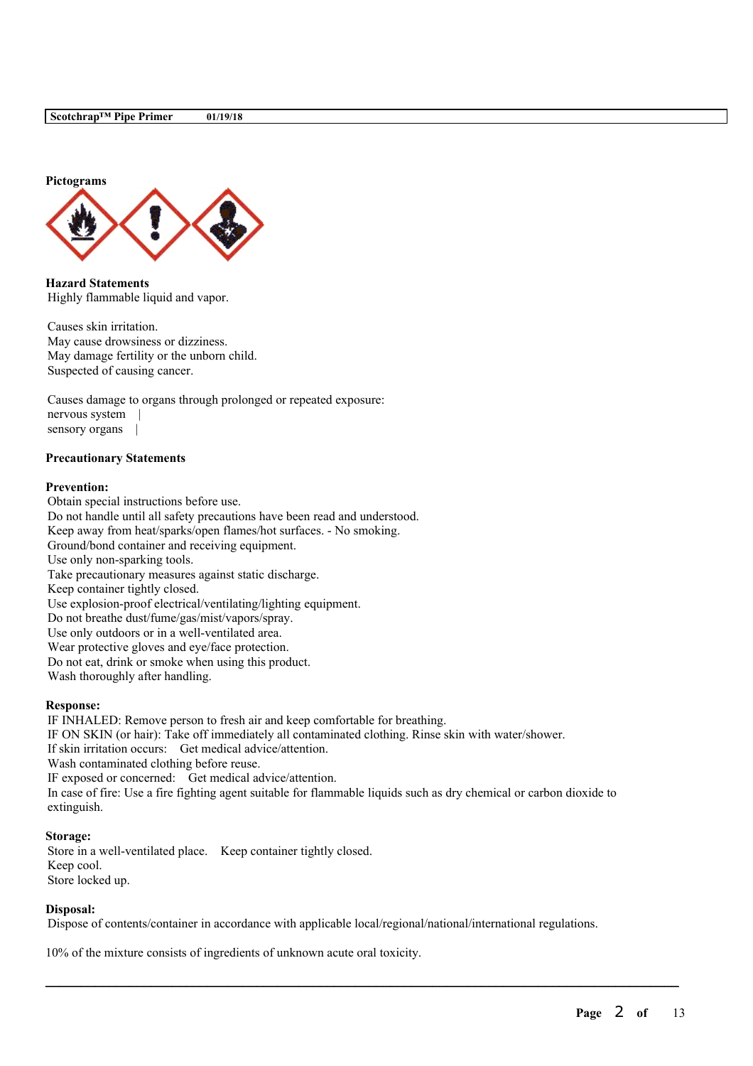

**Hazard Statements** Highly flammable liquid and vapor.

Causes skin irritation. May cause drowsiness or dizziness. May damage fertility or the unborn child. Suspected of causing cancer.

Causes damage to organs through prolonged or repeated exposure: nervous system | sensory organs |

## **Precautionary Statements**

#### **Prevention:**

Obtain special instructions before use. Do not handle until all safety precautions have been read and understood. Keep away from heat/sparks/open flames/hot surfaces. - No smoking. Ground/bond container and receiving equipment. Use only non-sparking tools. Take precautionary measures against static discharge. Keep container tightly closed. Use explosion-proof electrical/ventilating/lighting equipment. Do not breathe dust/fume/gas/mist/vapors/spray. Use only outdoors or in a well-ventilated area. Wear protective gloves and eye/face protection. Do not eat, drink or smoke when using this product. Wash thoroughly after handling.

#### **Response:**

IF INHALED: Remove person to fresh air and keep comfortable for breathing. IF ON SKIN (or hair): Take off immediately all contaminated clothing. Rinse skin with water/shower. If skin irritation occurs: Get medical advice/attention. Wash contaminated clothing before reuse. IF exposed or concerned: Get medical advice/attention. In case of fire: Use a fire fighting agent suitable for flammable liquids such as dry chemical or carbon dioxide to extinguish.

#### **Storage:**

Store in a well-ventilated place. Keep container tightly closed. Keep cool. Store locked up.

#### **Disposal:**

Dispose of contents/container in accordance with applicable local/regional/national/international regulations.

 $\mathcal{L}_\mathcal{L} = \mathcal{L}_\mathcal{L} = \mathcal{L}_\mathcal{L} = \mathcal{L}_\mathcal{L} = \mathcal{L}_\mathcal{L} = \mathcal{L}_\mathcal{L} = \mathcal{L}_\mathcal{L} = \mathcal{L}_\mathcal{L} = \mathcal{L}_\mathcal{L} = \mathcal{L}_\mathcal{L} = \mathcal{L}_\mathcal{L} = \mathcal{L}_\mathcal{L} = \mathcal{L}_\mathcal{L} = \mathcal{L}_\mathcal{L} = \mathcal{L}_\mathcal{L} = \mathcal{L}_\mathcal{L} = \mathcal{L}_\mathcal{L}$ 

10% of the mixture consists of ingredients of unknown acute oral toxicity.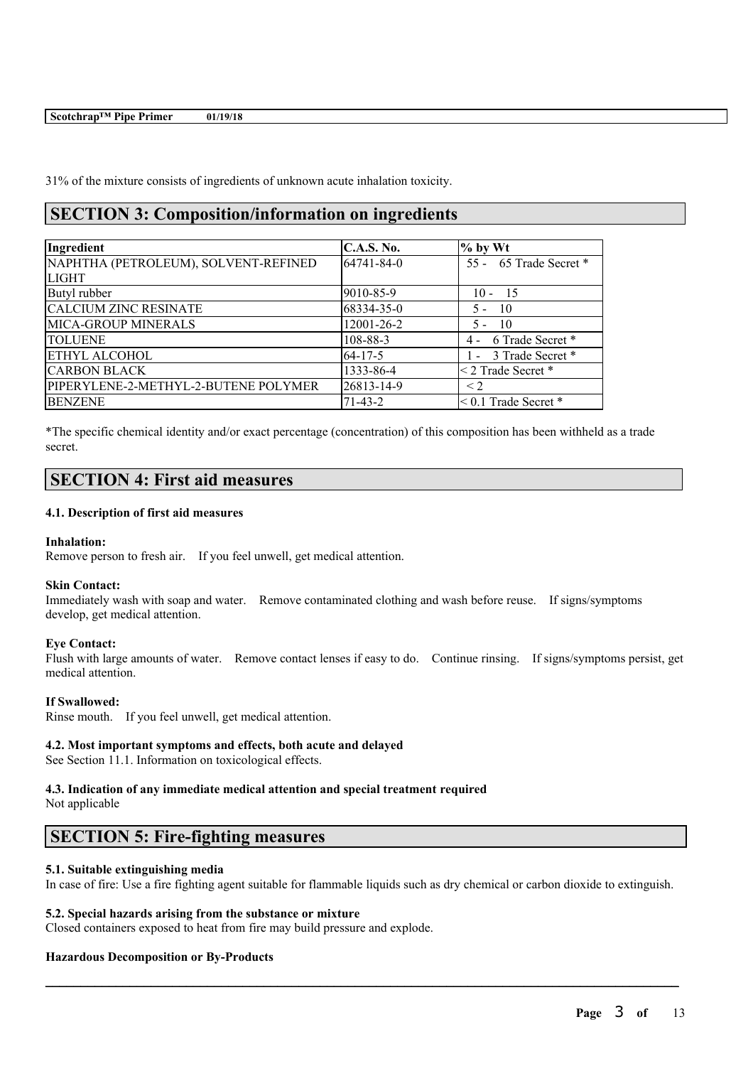31% of the mixture consists of ingredients of unknown acute inhalation toxicity.

# **SECTION 3: Composition/information on ingredients**

| Ingredient                           | <b>C.A.S. No.</b> | $%$ by Wt                 |
|--------------------------------------|-------------------|---------------------------|
| NAPHTHA (PETROLEUM), SOLVENT-REFINED | 64741-84-0        | 55 - 65 Trade Secret *    |
| <b>LIGHT</b>                         |                   |                           |
| Butyl rubber                         | 9010-85-9         | $10 - 15$                 |
| <b>CALCIUM ZINC RESINATE</b>         | 68334-35-0        | $\overline{10}$<br>$5 -$  |
| <b>MICA-GROUP MINERALS</b>           | 12001-26-2        | $\overline{10}$<br>$5 -$  |
| <b>TOLUENE</b>                       | 108-88-3          | 4 - 6 Trade Secret *      |
| <b>ETHYL ALCOHOL</b>                 | $64 - 17 - 5$     | 1 - 3 Trade Secret *      |
| <b>CARBON BLACK</b>                  | 1333-86-4         | $\leq$ 2 Trade Secret $*$ |
| PIPERYLENE-2-METHYL-2-BUTENE POLYMER | 26813-14-9        | $\leq$ 2                  |
| <b>BENZENE</b>                       | $71-43-2$         | $< 0.1$ Trade Secret $*$  |

\*The specific chemical identity and/or exact percentage (concentration) of this composition has been withheld as a trade secret.

# **SECTION 4: First aid measures**

## **4.1. Description of first aid measures**

## **Inhalation:**

Remove person to fresh air. If you feel unwell, get medical attention.

## **Skin Contact:**

Immediately wash with soap and water. Remove contaminated clothing and wash before reuse. If signs/symptoms develop, get medical attention.

## **Eye Contact:**

Flush with large amounts of water. Remove contact lenses if easy to do. Continue rinsing. If signs/symptoms persist, get medical attention.

## **If Swallowed:**

Rinse mouth. If you feel unwell, get medical attention.

## **4.2. Most important symptoms and effects, both acute and delayed**

See Section 11.1. Information on toxicological effects.

#### **4.3. Indication of any immediate medical attention and special treatment required** Not applicable

# **SECTION 5: Fire-fighting measures**

## **5.1. Suitable extinguishing media**

In case of fire: Use a fire fighting agent suitable for flammable liquids such as dry chemical or carbon dioxide to extinguish.

 $\mathcal{L}_\mathcal{L} = \mathcal{L}_\mathcal{L} = \mathcal{L}_\mathcal{L} = \mathcal{L}_\mathcal{L} = \mathcal{L}_\mathcal{L} = \mathcal{L}_\mathcal{L} = \mathcal{L}_\mathcal{L} = \mathcal{L}_\mathcal{L} = \mathcal{L}_\mathcal{L} = \mathcal{L}_\mathcal{L} = \mathcal{L}_\mathcal{L} = \mathcal{L}_\mathcal{L} = \mathcal{L}_\mathcal{L} = \mathcal{L}_\mathcal{L} = \mathcal{L}_\mathcal{L} = \mathcal{L}_\mathcal{L} = \mathcal{L}_\mathcal{L}$ 

## **5.2. Special hazards arising from the substance or mixture**

Closed containers exposed to heat from fire may build pressure and explode.

# **Hazardous Decomposition or By-Products**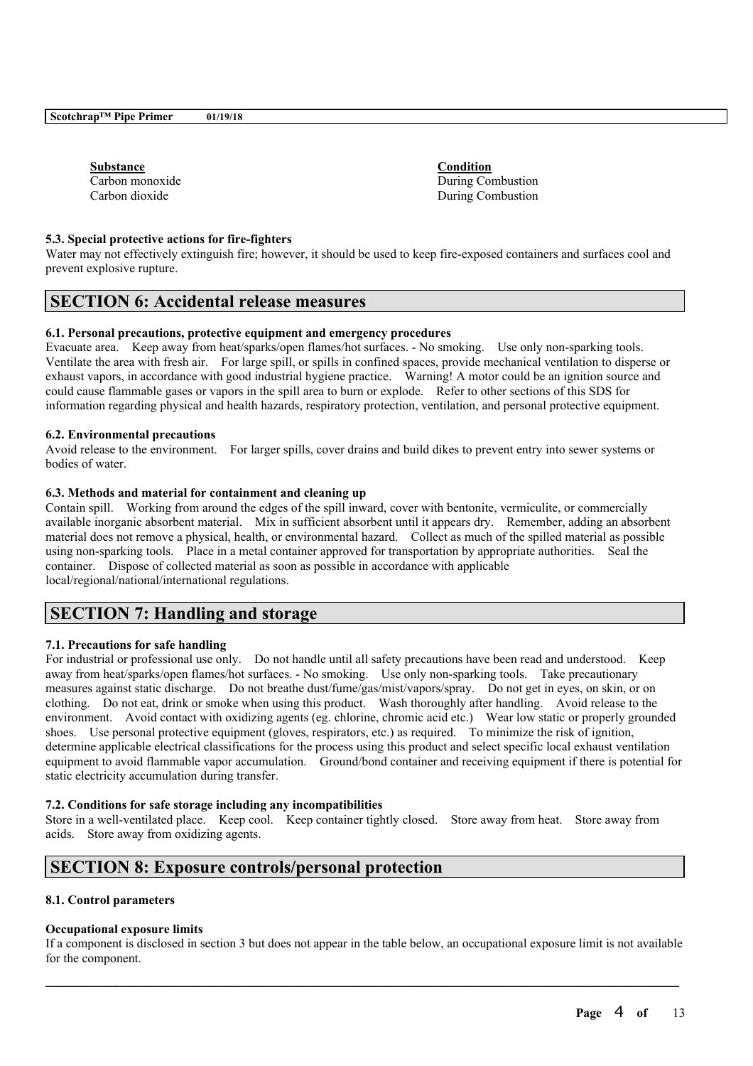| <b>Substance</b> |  |
|------------------|--|
| Carbon monoxide  |  |
| Carbon dioxide   |  |

**Substance Condition** During Combustion During Combustion

### **5.3. Special protective actions for fire-fighters**

Water may not effectively extinguish fire; however, it should be used to keep fire-exposed containers and surfaces cool and prevent explosive rupture.

# **SECTION 6: Accidental release measures**

### **6.1. Personal precautions, protective equipment and emergency procedures**

Evacuate area. Keep away from heat/sparks/open flames/hot surfaces. - No smoking. Use only non-sparking tools. Ventilate the area with fresh air. For large spill, or spills in confined spaces, provide mechanical ventilation to disperse or exhaust vapors, in accordance with good industrial hygiene practice. Warning! A motor could be an ignition source and could cause flammable gases or vapors in the spill area to burn or explode. Refer to other sections of this SDS for information regarding physical and health hazards, respiratory protection, ventilation, and personal protective equipment.

### **6.2. Environmental precautions**

Avoid release to the environment. For larger spills, cover drains and build dikes to prevent entry into sewer systems or bodies of water.

## **6.3. Methods and material for containment and cleaning up**

Contain spill. Working from around the edges of the spill inward, cover with bentonite, vermiculite, or commercially available inorganic absorbent material. Mix in sufficient absorbent until it appears dry. Remember, adding an absorbent material does not remove a physical, health, or environmental hazard. Collect as much of the spilled material as possible using non-sparking tools. Place in a metal container approved for transportation by appropriate authorities. Seal the container. Dispose of collected material as soon as possible in accordance with applicable local/regional/national/international regulations.

# **SECTION 7: Handling and storage**

## **7.1. Precautions for safe handling**

For industrial or professional use only. Do not handle until all safety precautions have been read and understood. Keep away from heat/sparks/open flames/hot surfaces. - No smoking. Use only non-sparking tools. Take precautionary measures against static discharge. Do not breathe dust/fume/gas/mist/vapors/spray. Do not get in eyes, on skin, or on clothing. Do not eat, drink or smoke when using this product. Wash thoroughly after handling. Avoid release to the environment. Avoid contact with oxidizing agents (eg. chlorine, chromic acid etc.) Wear low static or properly grounded shoes. Use personal protective equipment (gloves, respirators, etc.) as required. To minimize the risk of ignition, determine applicable electrical classifications for the process using this product and select specific local exhaust ventilation equipment to avoid flammable vapor accumulation. Ground/bond container and receiving equipment if there is potential for static electricity accumulation during transfer.

#### **7.2. Conditions for safe storage including any incompatibilities**

Store in a well-ventilated place. Keep cool. Keep container tightly closed. Store away from heat. Store away from acids. Store away from oxidizing agents.

# **SECTION 8: Exposure controls/personal protection**

#### **8.1. Control parameters**

#### **Occupational exposure limits**

If a component is disclosed in section 3 but does not appear in the table below, an occupational exposure limit is not available for the component.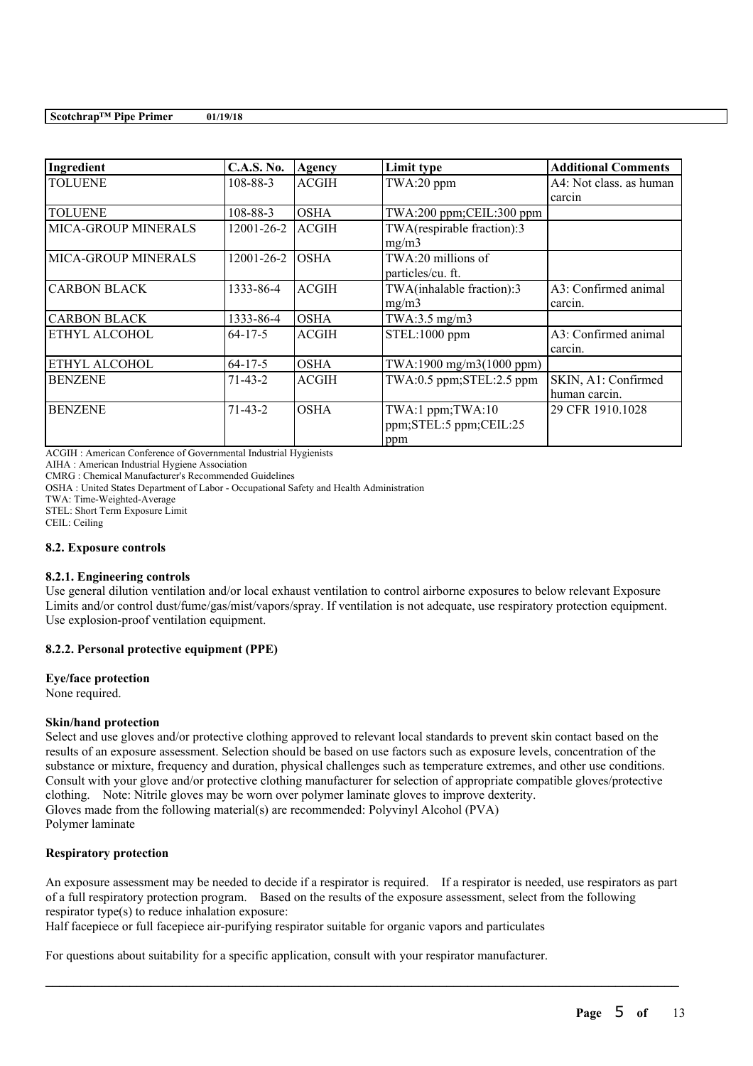| Ingredient                 | <b>C.A.S. No.</b> | Agency       | Limit type                                        | <b>Additional Comments</b>           |
|----------------------------|-------------------|--------------|---------------------------------------------------|--------------------------------------|
| <b>TOLUENE</b>             | 108-88-3          | <b>ACGIH</b> | TWA:20 ppm                                        | A4: Not class, as human<br>carcin    |
| <b>TOLUENE</b>             | 108-88-3          | <b>OSHA</b>  | TWA:200 ppm;CEIL:300 ppm                          |                                      |
| MICA-GROUP MINERALS        | 12001-26-2        | <b>ACGIH</b> | TWA(respirable fraction):3<br>mg/m3               |                                      |
| <b>MICA-GROUP MINERALS</b> | 12001-26-2        | <b>OSHA</b>  | TWA:20 millions of<br>particles/cu. ft.           |                                      |
| <b>CARBON BLACK</b>        | 1333-86-4         | <b>ACGIH</b> | TWA(inhalable fraction):3<br>mg/m3                | A3: Confirmed animal<br>carcin.      |
| <b>CARBON BLACK</b>        | 1333-86-4         | <b>OSHA</b>  | TWA:3.5 $mg/m3$                                   |                                      |
| ETHYL ALCOHOL              | $64-17-5$         | <b>ACGIH</b> | STEL:1000 ppm                                     | A3: Confirmed animal<br>carcin.      |
| ETHYL ALCOHOL              | $64 - 17 - 5$     | <b>OSHA</b>  | TWA:1900 mg/m3(1000 ppm)                          |                                      |
| <b>BENZENE</b>             | $71 - 43 - 2$     | <b>ACGIH</b> | TWA:0.5 ppm;STEL:2.5 ppm                          | SKIN, A1: Confirmed<br>human carcin. |
| <b>BENZENE</b>             | $71 - 43 - 2$     | <b>OSHA</b>  | TWA:1 ppm;TWA:10<br>ppm;STEL:5 ppm;CEIL:25<br>ppm | 29 CFR 1910.1028                     |

ACGIH : American Conference of Governmental Industrial Hygienists

AIHA : American Industrial Hygiene Association

CMRG : Chemical Manufacturer's Recommended Guidelines

OSHA : United States Department of Labor - Occupational Safety and Health Administration

TWA: Time-Weighted-Average

STEL: Short Term Exposure Limit

CEIL: Ceiling

#### **8.2. Exposure controls**

### **8.2.1. Engineering controls**

Use general dilution ventilation and/or local exhaust ventilation to control airborne exposures to below relevant Exposure Limits and/or control dust/fume/gas/mist/vapors/spray. If ventilation is not adequate, use respiratory protection equipment. Use explosion-proof ventilation equipment.

## **8.2.2. Personal protective equipment (PPE)**

#### **Eye/face protection**

None required.

## **Skin/hand protection**

Select and use gloves and/or protective clothing approved to relevant local standards to prevent skin contact based on the results of an exposure assessment. Selection should be based on use factors such as exposure levels, concentration of the substance or mixture, frequency and duration, physical challenges such as temperature extremes, and other use conditions. Consult with your glove and/or protective clothing manufacturer for selection of appropriate compatible gloves/protective clothing. Note: Nitrile gloves may be worn over polymer laminate gloves to improve dexterity. Gloves made from the following material(s) are recommended: Polyvinyl Alcohol (PVA) Polymer laminate

# **Respiratory protection**

An exposure assessment may be needed to decide if a respirator is required. If a respirator is needed, use respirators as part of a full respiratory protection program. Based on the results of the exposure assessment, select from the following respirator type(s) to reduce inhalation exposure:

 $\mathcal{L}_\mathcal{L} = \mathcal{L}_\mathcal{L} = \mathcal{L}_\mathcal{L} = \mathcal{L}_\mathcal{L} = \mathcal{L}_\mathcal{L} = \mathcal{L}_\mathcal{L} = \mathcal{L}_\mathcal{L} = \mathcal{L}_\mathcal{L} = \mathcal{L}_\mathcal{L} = \mathcal{L}_\mathcal{L} = \mathcal{L}_\mathcal{L} = \mathcal{L}_\mathcal{L} = \mathcal{L}_\mathcal{L} = \mathcal{L}_\mathcal{L} = \mathcal{L}_\mathcal{L} = \mathcal{L}_\mathcal{L} = \mathcal{L}_\mathcal{L}$ 

Half facepiece or full facepiece air-purifying respirator suitable for organic vapors and particulates

For questions about suitability for a specific application, consult with your respirator manufacturer.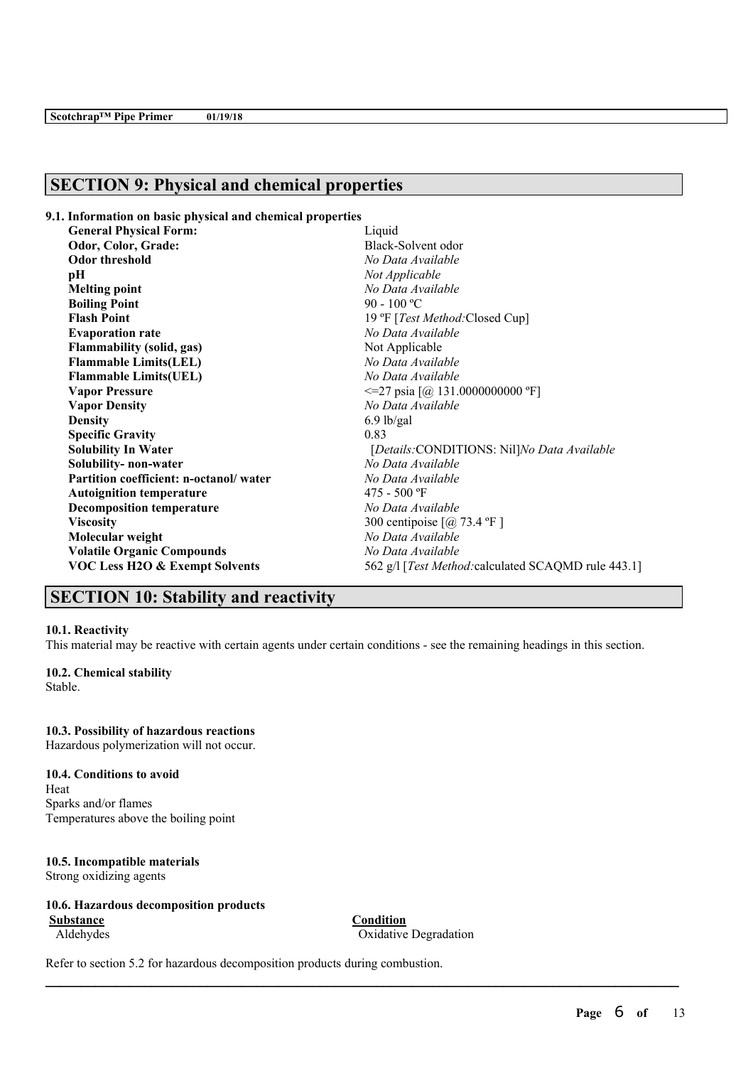# **SECTION 9: Physical and chemical properties**

| 9.1. Information on basic physical and chemical properties |                                                       |
|------------------------------------------------------------|-------------------------------------------------------|
| <b>General Physical Form:</b>                              | Liquid                                                |
| Odor, Color, Grade:                                        | Black-Solvent odor                                    |
| <b>Odor threshold</b>                                      | No Data Available                                     |
| рH                                                         | Not Applicable                                        |
| <b>Melting point</b>                                       | No Data Available                                     |
| <b>Boiling Point</b>                                       | 90 - 100 °C                                           |
| <b>Flash Point</b>                                         | 19 °F [Test Method: Closed Cup]                       |
| <b>Evaporation rate</b>                                    | No Data Available                                     |
| <b>Flammability (solid, gas)</b>                           | Not Applicable                                        |
| <b>Flammable Limits(LEL)</b>                               | No Data Available                                     |
| <b>Flammable Limits(UEL)</b>                               | No Data Available                                     |
| <b>Vapor Pressure</b>                                      | $\leq$ 27 psia [@ 131.0000000000 °F]                  |
| <b>Vapor Density</b>                                       | No Data Available                                     |
| <b>Density</b>                                             | $6.9$ lb/gal                                          |
| <b>Specific Gravity</b>                                    | 0.83                                                  |
| <b>Solubility In Water</b>                                 | [Details:CONDITIONS: Nil]No Data Available            |
| Solubility- non-water                                      | No Data Available                                     |
| Partition coefficient: n-octanol/water                     | No Data Available                                     |
| <b>Autoignition temperature</b>                            | $475 - 500$ °F                                        |
| <b>Decomposition temperature</b>                           | No Data Available                                     |
| <b>Viscosity</b>                                           | 300 centipoise $\lceil$ ( <i>a</i> ) 73.4 °F $\rceil$ |
| Molecular weight                                           | No Data Available                                     |
| <b>Volatile Organic Compounds</b>                          | No Data Available                                     |
| <b>VOC Less H2O &amp; Exempt Solvents</b>                  | 562 g/l [Test Method: calculated SCAQMD rule 443.1]   |

# **SECTION 10: Stability and reactivity**

#### **10.1. Reactivity**

This material may be reactive with certain agents under certain conditions - see the remaining headings in this section.

# **10.2. Chemical stability**

Stable.

# **10.3. Possibility of hazardous reactions**

Hazardous polymerization will not occur.

## **10.4. Conditions to avoid**

Heat Sparks and/or flames Temperatures above the boiling point

# **10.5. Incompatible materials**

Strong oxidizing agents

# **10.6. Hazardous decomposition products**

**Substance Condition**

Aldehydes Oxidative Degradation

 $\mathcal{L}_\mathcal{L} = \mathcal{L}_\mathcal{L} = \mathcal{L}_\mathcal{L} = \mathcal{L}_\mathcal{L} = \mathcal{L}_\mathcal{L} = \mathcal{L}_\mathcal{L} = \mathcal{L}_\mathcal{L} = \mathcal{L}_\mathcal{L} = \mathcal{L}_\mathcal{L} = \mathcal{L}_\mathcal{L} = \mathcal{L}_\mathcal{L} = \mathcal{L}_\mathcal{L} = \mathcal{L}_\mathcal{L} = \mathcal{L}_\mathcal{L} = \mathcal{L}_\mathcal{L} = \mathcal{L}_\mathcal{L} = \mathcal{L}_\mathcal{L}$ 

Refer to section 5.2 for hazardous decomposition products during combustion.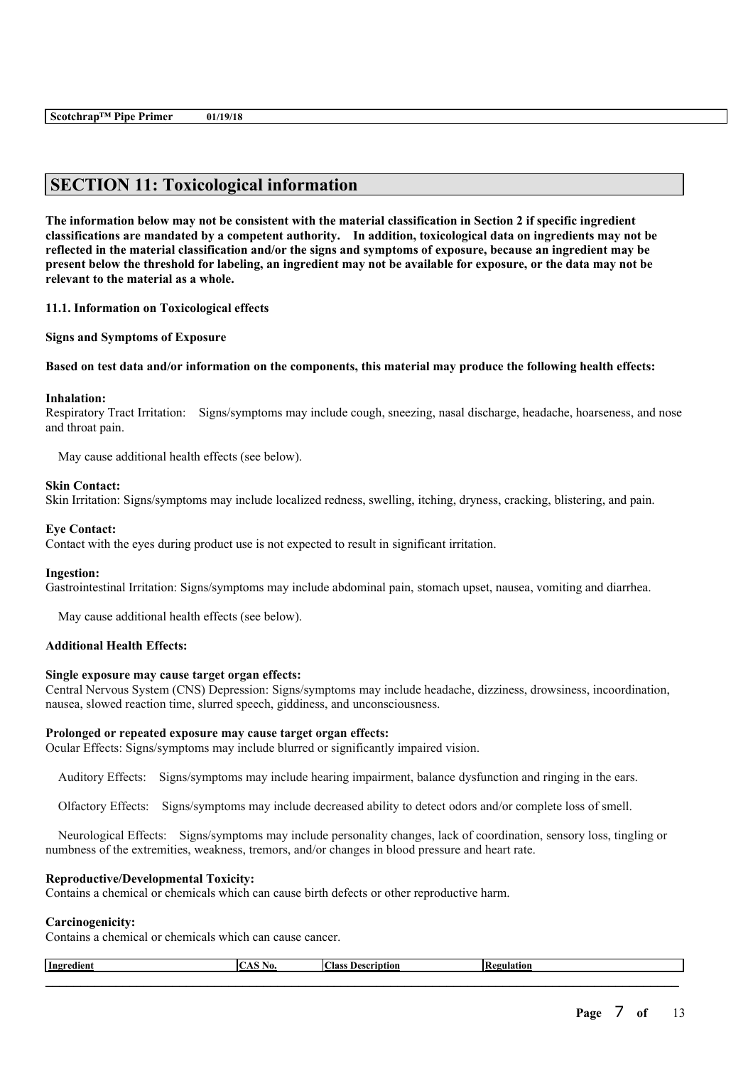# **SECTION 11: Toxicological information**

The information below may not be consistent with the material classification in Section 2 if specific ingredient **classifications are mandated by a competent authority. In addition, toxicological data on ingredients may not be** reflected in the material classification and/or the signs and symptoms of exposure, because an ingredient may be present below the threshold for labeling, an ingredient may not be available for exposure, or the data may not be **relevant to the material as a whole.**

**11.1. Information on Toxicological effects**

**Signs and Symptoms of Exposure**

Based on test data and/or information on the components, this material may produce the following health effects:

#### **Inhalation:**

Respiratory Tract Irritation: Signs/symptoms may include cough, sneezing, nasal discharge, headache, hoarseness, and nose and throat pain.

May cause additional health effects (see below).

#### **Skin Contact:**

Skin Irritation: Signs/symptoms may include localized redness, swelling, itching, dryness, cracking, blistering, and pain.

#### **Eye Contact:**

Contact with the eyes during product use is not expected to result in significant irritation.

#### **Ingestion:**

Gastrointestinal Irritation: Signs/symptoms may include abdominal pain, stomach upset, nausea, vomiting and diarrhea.

May cause additional health effects (see below).

#### **Additional Health Effects:**

#### **Single exposure may cause target organ effects:**

Central Nervous System (CNS) Depression: Signs/symptoms may include headache, dizziness, drowsiness, incoordination, nausea, slowed reaction time, slurred speech, giddiness, and unconsciousness.

#### **Prolonged or repeated exposure may cause target organ effects:**

Ocular Effects: Signs/symptoms may include blurred or significantly impaired vision.

Auditory Effects: Signs/symptoms may include hearing impairment, balance dysfunction and ringing in the ears.

Olfactory Effects: Signs/symptoms may include decreased ability to detect odors and/or complete loss of smell.

Neurological Effects: Signs/symptoms may include personality changes, lack of coordination, sensory loss, tingling or numbness of the extremities, weakness, tremors, and/or changes in blood pressure and heart rate.

#### **Reproductive/Developmental Toxicity:**

Contains a chemical or chemicals which can cause birth defects or other reproductive harm.

#### **Carcinogenicity:**

Contains a chemical or chemicals which can cause cancer.

| -Ingr<br>edient | NO. | $\textcolor{red}{\textbf{Class}}$<br>Descript.<br>ΊO. | - |
|-----------------|-----|-------------------------------------------------------|---|
|                 |     |                                                       |   |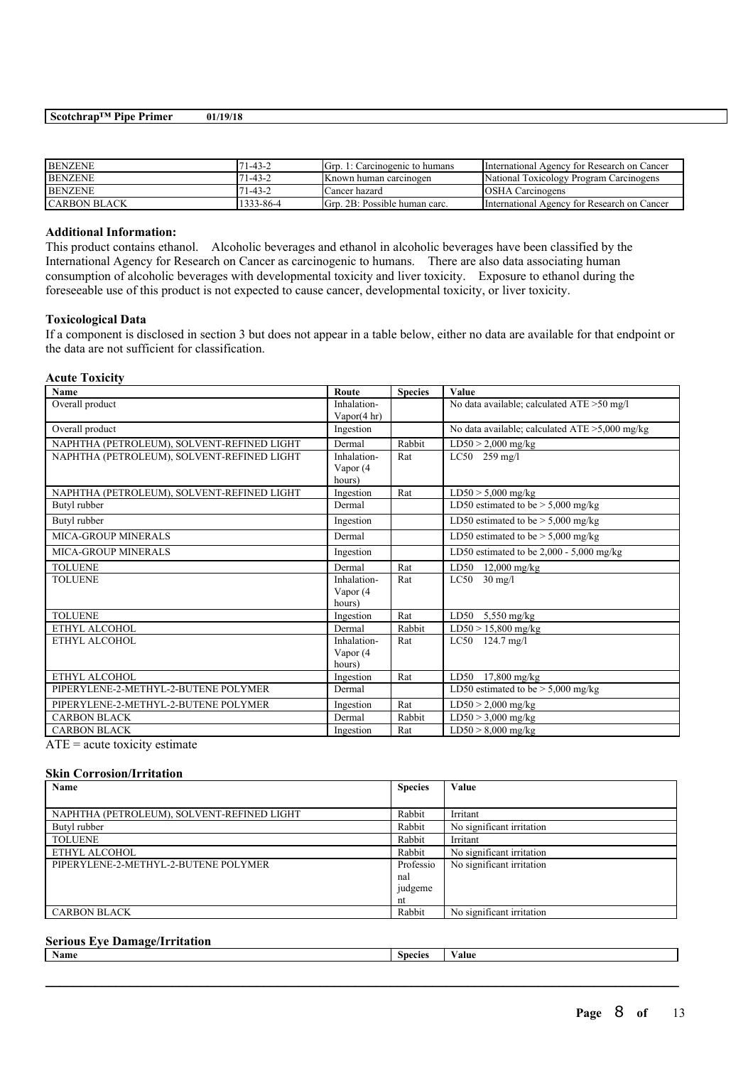| Pipe<br>$S\text{c}otchrap^{TM}$<br>Primer | 01/19/18 |  |  |
|-------------------------------------------|----------|--|--|
|                                           |          |  |  |

| <b>BENZENE</b>      | 1-43-2    | Gro. 1: Carcinogenic to humans | International Agency for Research on Cancer |
|---------------------|-----------|--------------------------------|---------------------------------------------|
| <b>BENZENE</b>      | 71-43-2   | IKnown human carcinogen        | National Toxicology Program Carcinogens     |
| <b>BENZENE</b>      | 71-43-2   | Cancer hazard                  | <b>IOSHA Carcinogens</b>                    |
| <b>CARBON BLACK</b> | 1333-86-4 | IGrp. 2B: Possible human carc. | International Agency for Research on Cancer |

### **Additional Information:**

This product contains ethanol. Alcoholic beverages and ethanol in alcoholic beverages have been classified by the International Agency for Research on Cancer as carcinogenic to humans. There are also data associating human consumption of alcoholic beverages with developmental toxicity and liver toxicity. Exposure to ethanol during the foreseeable use of this product is not expected to cause cancer, developmental toxicity, or liver toxicity.

#### **Toxicological Data**

If a component is disclosed in section 3 but does not appear in a table below, either no data are available for that endpoint or the data are not sufficient for classification.

| <b>Acute Toxicity</b>                      |                                     |                |                                                |
|--------------------------------------------|-------------------------------------|----------------|------------------------------------------------|
| <b>Name</b>                                | Route                               | <b>Species</b> | <b>Value</b>                                   |
| Overall product                            | Inhalation-                         |                | No data available; calculated ATE >50 mg/l     |
| Overall product                            | Vapor $(4 \text{ hr})$<br>Ingestion |                | No data available; calculated ATE >5,000 mg/kg |
|                                            |                                     |                |                                                |
| NAPHTHA (PETROLEUM), SOLVENT-REFINED LIGHT | Dermal                              | Rabbit         | $LD50 > 2,000$ mg/kg                           |
| NAPHTHA (PETROLEUM), SOLVENT-REFINED LIGHT | Inhalation-                         | Rat            | $LC50$ 259 mg/l                                |
|                                            | Vapor (4                            |                |                                                |
|                                            | hours)                              |                |                                                |
| NAPHTHA (PETROLEUM), SOLVENT-REFINED LIGHT | Ingestion                           | Rat            | $\overline{\text{LD50}}$ > 5,000 mg/kg         |
| Butyl rubber                               | Dermal                              |                | LD50 estimated to be $>$ 5,000 mg/kg           |
| Butyl rubber                               | Ingestion                           |                | LD50 estimated to be $>$ 5,000 mg/kg           |
| MICA-GROUP MINERALS                        | Dermal                              |                | LD50 estimated to be $>$ 5,000 mg/kg           |
| <b>MICA-GROUP MINERALS</b>                 | Ingestion                           |                | LD50 estimated to be $2,000 - 5,000$ mg/kg     |
| <b>TOLUENE</b>                             | Dermal                              | Rat            | LD50<br>$12,000$ mg/kg                         |
| <b>TOLUENE</b>                             | Inhalation-                         | Rat            | $LC50$ 30 mg/l                                 |
|                                            | Vapor (4                            |                |                                                |
|                                            | hours)                              |                |                                                |
| <b>TOLUENE</b>                             | Ingestion                           | Rat            | LD50<br>$5,550$ mg/kg                          |
| ETHYL ALCOHOL                              | Dermal                              | Rabbit         | $LD50 > 15,800$ mg/kg                          |
| ETHYL ALCOHOL                              | Inhalation-                         | Rat            | $LC50$ 124.7 mg/l                              |
|                                            | Vapor (4                            |                |                                                |
|                                            | hours)                              |                |                                                |
| ETHYL ALCOHOL                              | Ingestion                           | Rat            | LD50 17,800 mg/kg                              |
| PIPERYLENE-2-METHYL-2-BUTENE POLYMER       | Dermal                              |                | LD50 estimated to be $>$ 5,000 mg/kg           |
| PIPERYLENE-2-METHYL-2-BUTENE POLYMER       | Ingestion                           | Rat            | $LD50 > 2,000$ mg/kg                           |
| <b>CARBON BLACK</b>                        | Dermal                              | Rabbit         | $LD50 > 3,000$ mg/kg                           |
| <b>CARBON BLACK</b>                        | Ingestion                           | Rat            | $LD50 > 8,000$ mg/kg                           |

 $ATE = acute$  toxicity estimate

#### **Skin Corrosion/Irritation**

| Name                                       | <b>Species</b> | Value                     |
|--------------------------------------------|----------------|---------------------------|
|                                            |                |                           |
| NAPHTHA (PETROLEUM), SOLVENT-REFINED LIGHT | Rabbit         | Irritant                  |
| Butyl rubber                               | Rabbit         | No significant irritation |
| <b>TOLUENE</b>                             | Rabbit         | Irritant                  |
| ETHYL ALCOHOL                              | Rabbit         | No significant irritation |
| PIPERYLENE-2-METHYL-2-BUTENE POLYMER       | Professio      | No significant irritation |
|                                            | nal            |                           |
|                                            | judgeme        |                           |
|                                            | nt             |                           |
| <b>CARBON BLACK</b>                        | Rabbit         | No significant irritation |

# **Serious Eye Damage/Irritation**

| <b>Name</b> | Species | alue |
|-------------|---------|------|
|             |         |      |
|             |         |      |
|             |         |      |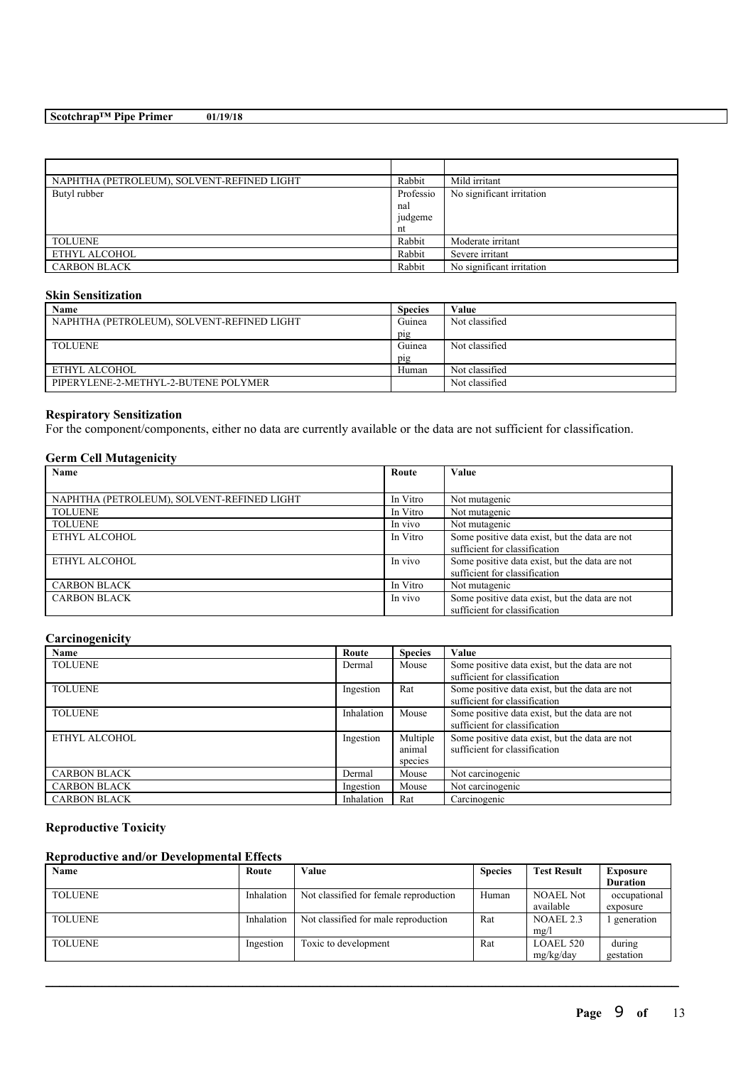| NAPHTHA (PETROLEUM), SOLVENT-REFINED LIGHT | Rabbit  | Mild irritant             |
|--------------------------------------------|---------|---------------------------|
| Butyl rubber                               |         | No significant irritation |
|                                            | nal     |                           |
|                                            | judgeme |                           |
|                                            | nt      |                           |
| <b>TOLUENE</b>                             | Rabbit  | Moderate irritant         |
| ETHYL ALCOHOL                              | Rabbit  | Severe irritant           |
| <b>CARBON BLACK</b>                        | Rabbit  | No significant irritation |

### **Skin Sensitization**

| Name                                       | <b>Species</b> | Value          |
|--------------------------------------------|----------------|----------------|
| NAPHTHA (PETROLEUM), SOLVENT-REFINED LIGHT | Guinea         | Not classified |
|                                            | pig            |                |
| <b>TOLUENE</b>                             | Guinea         | Not classified |
|                                            | pig            |                |
| ETHYL ALCOHOL                              | Human          | Not classified |
| PIPERYLENE-2-METHYL-2-BUTENE POLYMER       |                | Not classified |

# **Respiratory Sensitization**

For the component/components, either no data are currently available or the data are not sufficient for classification.

# **Germ Cell Mutagenicity**

| Name                                       | Route    | Value                                                                           |
|--------------------------------------------|----------|---------------------------------------------------------------------------------|
|                                            |          |                                                                                 |
| NAPHTHA (PETROLEUM), SOLVENT-REFINED LIGHT | In Vitro | Not mutagenic                                                                   |
| <b>TOLUENE</b>                             | In Vitro | Not mutagenic                                                                   |
| <b>TOLUENE</b>                             | In vivo  | Not mutagenic                                                                   |
| ETHYL ALCOHOL                              | In Vitro | Some positive data exist, but the data are not<br>sufficient for classification |
| ETHYL ALCOHOL                              | In vivo  | Some positive data exist, but the data are not<br>sufficient for classification |
| <b>CARBON BLACK</b>                        | In Vitro | Not mutagenic                                                                   |
| <b>CARBON BLACK</b>                        | In vivo  | Some positive data exist, but the data are not<br>sufficient for classification |

# **Carcinogenicity**

| Name                | Route      | <b>Species</b>                | Value                                                                           |
|---------------------|------------|-------------------------------|---------------------------------------------------------------------------------|
| <b>TOLUENE</b>      | Dermal     | Mouse                         | Some positive data exist, but the data are not<br>sufficient for classification |
| <b>TOLUENE</b>      | Ingestion  | Rat                           | Some positive data exist, but the data are not<br>sufficient for classification |
| <b>TOLUENE</b>      | Inhalation | Mouse                         | Some positive data exist, but the data are not<br>sufficient for classification |
| ETHYL ALCOHOL       | Ingestion  | Multiple<br>animal<br>species | Some positive data exist, but the data are not<br>sufficient for classification |
| <b>CARBON BLACK</b> | Dermal     | Mouse                         | Not carcinogenic                                                                |
| <b>CARBON BLACK</b> | Ingestion  | Mouse                         | Not carcinogenic                                                                |
| <b>CARBON BLACK</b> | Inhalation | Rat                           | Carcinogenic                                                                    |

# **Reproductive Toxicity**

## **Reproductive and/or Developmental Effects**

| Name           | Route      | Value                                  | <b>Species</b> | <b>Test Result</b>            | <b>Exposure</b><br><b>Duration</b> |
|----------------|------------|----------------------------------------|----------------|-------------------------------|------------------------------------|
| <b>TOLUENE</b> | Inhalation | Not classified for female reproduction | Human          | <b>NOAEL Not</b><br>available | occupational<br>exposure           |
| <b>TOLUENE</b> | Inhalation | Not classified for male reproduction   | Rat            | NOAEL 2.3<br>mg/l             | generation                         |
| <b>TOLUENE</b> | Ingestion  | Toxic to development                   | Rat            | LOAEL 520<br>mg/kg/day        | during<br>gestation                |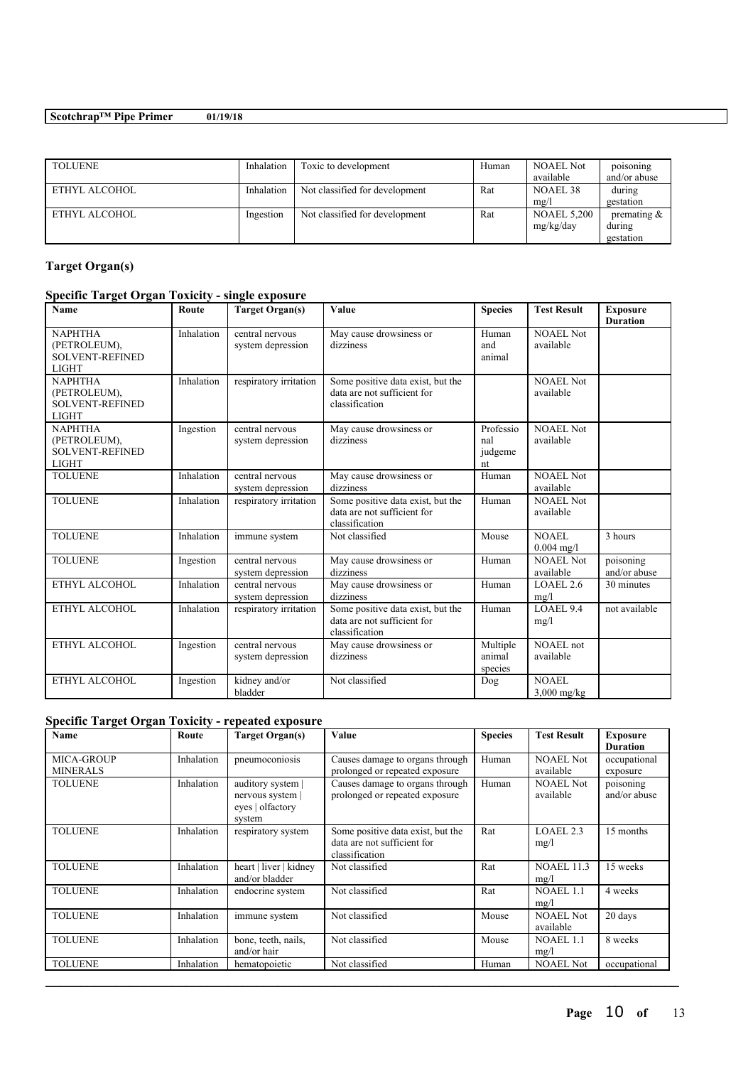| <b>TOLUENE</b> | Inhalation | Toxic to development           | Human | <b>NOAEL Not</b><br>available   | poisoning<br>and/or abuse            |
|----------------|------------|--------------------------------|-------|---------------------------------|--------------------------------------|
| ETHYL ALCOHOL  | Inhalation | Not classified for development | Rat   | NOAEL 38<br>mg/l                | during<br>gestation                  |
| ETHYL ALCOHOL  | Ingestion  | Not classified for development | Rat   | <b>NOAEL 5,200</b><br>mg/kg/day | premating $&$<br>during<br>gestation |

# **Target Organ(s)**

# **Specific Target Organ Toxicity - single exposure**

| <b>Name</b>                                                              | Route      | <b>Target Organ(s)</b>               | Value                                                                              | <b>Species</b>                    | <b>Test Result</b>            | <b>Exposure</b><br><b>Duration</b> |
|--------------------------------------------------------------------------|------------|--------------------------------------|------------------------------------------------------------------------------------|-----------------------------------|-------------------------------|------------------------------------|
| <b>NAPHTHA</b><br>(PETROLEUM),<br><b>SOLVENT-REFINED</b><br><b>LIGHT</b> | Inhalation | central nervous<br>system depression | May cause drowsiness or<br>dizziness                                               | Human<br>and<br>animal            | <b>NOAEL Not</b><br>available |                                    |
| <b>NAPHTHA</b><br>(PETROLEUM),<br><b>SOLVENT-REFINED</b><br><b>LIGHT</b> | Inhalation | respiratory irritation               | Some positive data exist, but the<br>data are not sufficient for<br>classification |                                   | NOAEL Not<br>available        |                                    |
| <b>NAPHTHA</b><br>(PETROLEUM),<br><b>SOLVENT-REFINED</b><br><b>LIGHT</b> | Ingestion  | central nervous<br>system depression | May cause drowsiness or<br>dizziness                                               | Professio<br>nal<br>judgeme<br>nt | <b>NOAEL Not</b><br>available |                                    |
| <b>TOLUENE</b>                                                           | Inhalation | central nervous<br>system depression | May cause drowsiness or<br>dizziness                                               | Human                             | NOAEL Not<br>available        |                                    |
| <b>TOLUENE</b>                                                           | Inhalation | respiratory irritation               | Some positive data exist, but the<br>data are not sufficient for<br>classification | Human                             | <b>NOAEL Not</b><br>available |                                    |
| <b>TOLUENE</b>                                                           | Inhalation | immune system                        | Not classified                                                                     | Mouse                             | NOAEL<br>$0.004$ mg/l         | 3 hours                            |
| <b>TOLUENE</b>                                                           | Ingestion  | central nervous<br>system depression | May cause drowsiness or<br>dizziness                                               | Human                             | <b>NOAEL Not</b><br>available | poisoning<br>and/or abuse          |
| ETHYL ALCOHOL                                                            | Inhalation | central nervous<br>system depression | May cause drowsiness or<br>dizziness                                               | Human                             | LOAEL 2.6<br>mg/l             | 30 minutes                         |
| ETHYL ALCOHOL                                                            | Inhalation | respiratory irritation               | Some positive data exist, but the<br>data are not sufficient for<br>classification | Human                             | LOAEL 9.4<br>mg/l             | not available                      |
| ETHYL ALCOHOL                                                            | Ingestion  | central nervous<br>system depression | May cause drowsiness or<br>dizziness                                               | Multiple<br>animal<br>species     | NOAEL not<br>available        |                                    |
| ETHYL ALCOHOL                                                            | Ingestion  | kidney and/or<br>bladder             | Not classified                                                                     | Dog                               | <b>NOAEL</b><br>$3,000$ mg/kg |                                    |

# **Specific Target Organ Toxicity - repeated exposure**

| Name                                 | Route      | <b>Target Organ(s)</b>                                            | Value                                                                              | <b>Species</b> | <b>Test Result</b>            | <b>Exposure</b><br><b>Duration</b> |
|--------------------------------------|------------|-------------------------------------------------------------------|------------------------------------------------------------------------------------|----------------|-------------------------------|------------------------------------|
| <b>MICA-GROUP</b><br><b>MINERALS</b> | Inhalation | pneumoconiosis                                                    | Causes damage to organs through<br>prolonged or repeated exposure                  | Human          | <b>NOAEL Not</b><br>available | occupational<br>exposure           |
| <b>TOLUENE</b>                       | Inhalation | auditory system  <br>nervous system<br>eyes   olfactory<br>system | Causes damage to organs through<br>prolonged or repeated exposure                  | Human          | <b>NOAEL Not</b><br>available | poisoning<br>and/or abuse          |
| <b>TOLUENE</b>                       | Inhalation | respiratory system                                                | Some positive data exist, but the<br>data are not sufficient for<br>classification | Rat            | LOAEL 2.3<br>mg/l             | 15 months                          |
| <b>TOLUENE</b>                       | Inhalation | heart   liver   kidney<br>and/or bladder                          | Not classified                                                                     | Rat            | <b>NOAEL 11.3</b><br>mg/l     | 15 weeks                           |
| <b>TOLUENE</b>                       | Inhalation | endocrine system                                                  | Not classified                                                                     | Rat            | <b>NOAEL 1.1</b><br>mg/l      | 4 weeks                            |
| <b>TOLUENE</b>                       | Inhalation | immune system                                                     | Not classified                                                                     | Mouse          | <b>NOAEL Not</b><br>available | 20 days                            |
| <b>TOLUENE</b>                       | Inhalation | bone, teeth, nails,<br>and/or hair                                | Not classified                                                                     | Mouse          | <b>NOAEL 1.1</b><br>mg/l      | 8 weeks                            |
| <b>TOLUENE</b>                       | Inhalation | hematopoietic                                                     | Not classified                                                                     | Human          | <b>NOAEL Not</b>              | occupational                       |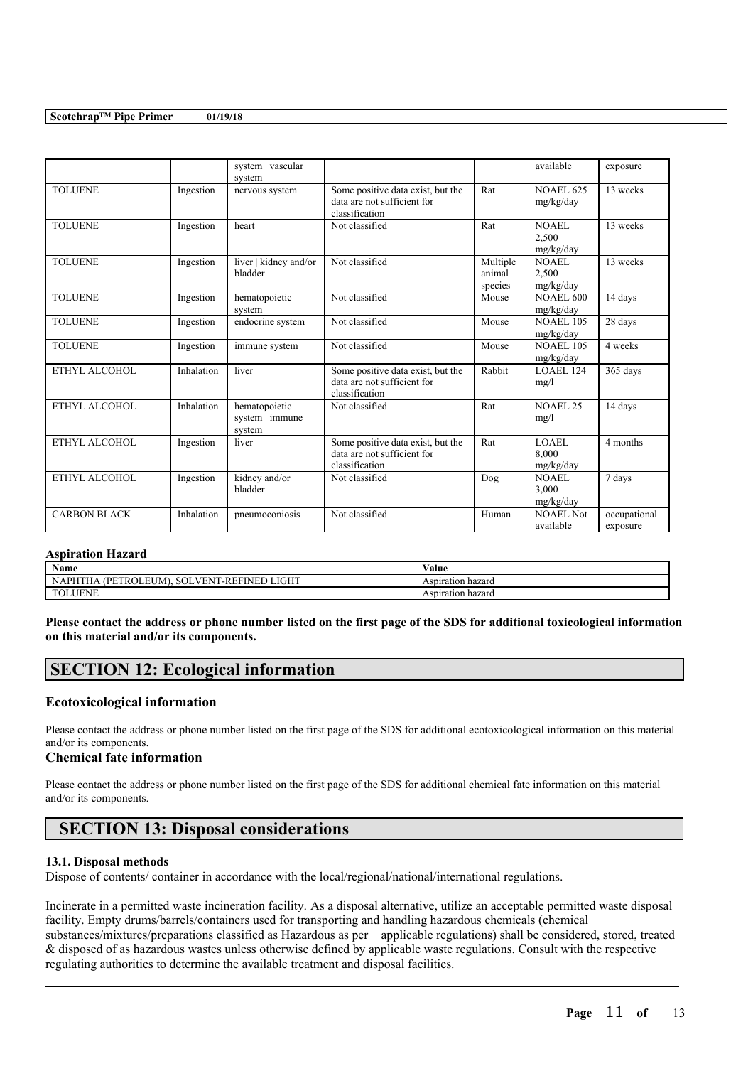|                     |            | system   vascular<br>system                |                                                                                    |                               | available                     | exposure                 |
|---------------------|------------|--------------------------------------------|------------------------------------------------------------------------------------|-------------------------------|-------------------------------|--------------------------|
| <b>TOLUENE</b>      | Ingestion  | nervous system                             | Some positive data exist, but the<br>data are not sufficient for<br>classification | Rat                           | <b>NOAEL 625</b><br>mg/kg/day | 13 weeks                 |
| <b>TOLUENE</b>      | Ingestion  | heart                                      | Not classified                                                                     | Rat                           | NOAEL<br>2,500<br>mg/kg/day   | 13 weeks                 |
| <b>TOLUENE</b>      | Ingestion  | liver   kidney and/or<br>bladder           | Not classified                                                                     | Multiple<br>animal<br>species | NOAEL<br>2,500<br>mg/kg/day   | 13 weeks                 |
| <b>TOLUENE</b>      | Ingestion  | hematopoietic<br>system                    | Not classified                                                                     | Mouse                         | <b>NOAEL 600</b><br>mg/kg/day | 14 days                  |
| <b>TOLUENE</b>      | Ingestion  | endocrine system                           | Not classified                                                                     | Mouse                         | <b>NOAEL 105</b><br>mg/kg/day | 28 days                  |
| <b>TOLUENE</b>      | Ingestion  | immune system                              | Not classified                                                                     | Mouse                         | <b>NOAEL 105</b><br>mg/kg/day | 4 weeks                  |
| ETHYL ALCOHOL       | Inhalation | liver                                      | Some positive data exist, but the<br>data are not sufficient for<br>classification | Rabbit                        | LOAEL 124<br>mg/l             | 365 days                 |
| ETHYL ALCOHOL       | Inhalation | hematopoietic<br>system   immune<br>system | Not classified                                                                     | Rat                           | NOAEL <sub>25</sub><br>mg/l   | 14 days                  |
| ETHYL ALCOHOL       | Ingestion  | liver                                      | Some positive data exist, but the<br>data are not sufficient for<br>classification | Rat                           | LOAEL<br>8,000<br>mg/kg/day   | 4 months                 |
| ETHYL ALCOHOL       | Ingestion  | kidney and/or<br>bladder                   | Not classified                                                                     | Dog                           | NOAEL<br>3.000<br>mg/kg/day   | 7 days                   |
| <b>CARBON BLACK</b> | Inhalation | pneumoconiosis                             | Not classified                                                                     | Human                         | NOAEL Not<br>available        | occupational<br>exposure |

#### **Aspiration Hazard**

| Name                                                             | ⁄ alue                 |
|------------------------------------------------------------------|------------------------|
| <b>LIGHT</b><br><b>(PETR</b><br>ŒΝ<br>`R<br>н<br>ш<br>J IVI<br>ം | Aspiration<br>hazaro   |
| 'NL                                                              | n hazard<br>Aspiration |

Please contact the address or phone number listed on the first page of the SDS for additional toxicological information **on this material and/or its components.**

# **SECTION 12: Ecological information**

## **Ecotoxicological information**

Please contact the address or phone number listed on the first page of the SDS for additional ecotoxicological information on this material and/or its components.

## **Chemical fate information**

Please contact the address or phone number listed on the first page of the SDS for additional chemical fate information on this material and/or its components.

# **SECTION 13: Disposal considerations**

## **13.1. Disposal methods**

Dispose of contents/ container in accordance with the local/regional/national/international regulations.

Incinerate in a permitted waste incineration facility. As a disposal alternative, utilize an acceptable permitted waste disposal facility. Empty drums/barrels/containers used for transporting and handling hazardous chemicals (chemical substances/mixtures/preparations classified as Hazardous as per applicable regulations) shall be considered, stored, treated & disposed of as hazardous wastes unless otherwise defined by applicable waste regulations. Consult with the respective regulating authorities to determine the available treatment and disposal facilities.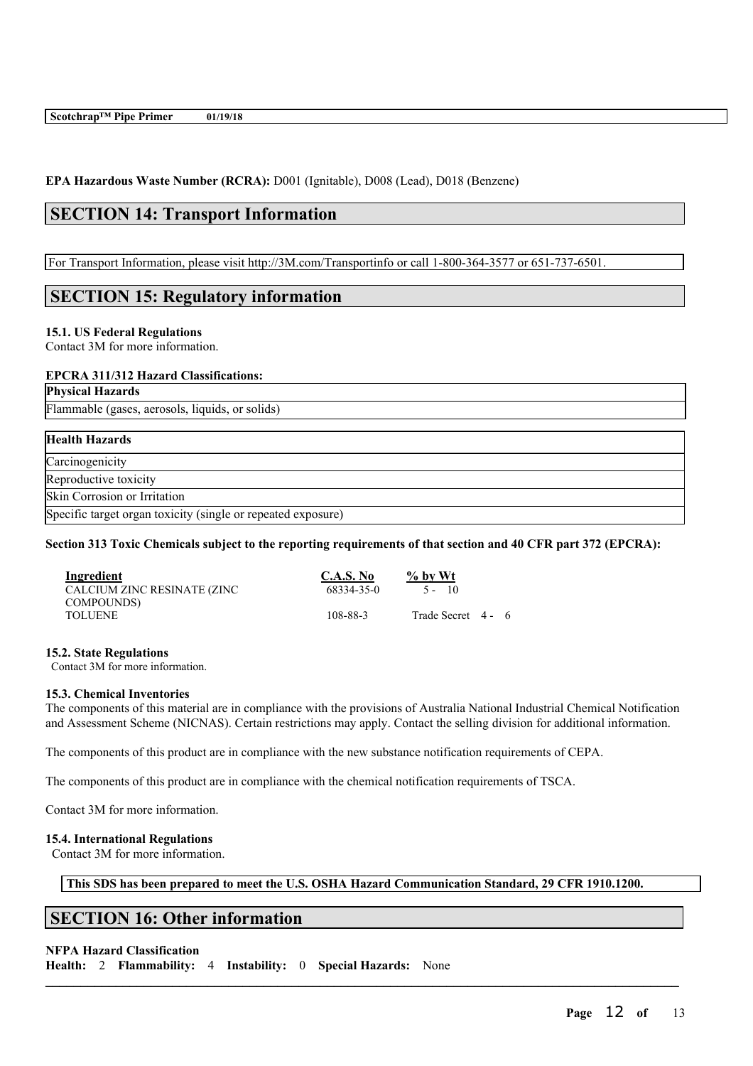**EPA Hazardous Waste Number (RCRA):** D001 (Ignitable), D008 (Lead), D018 (Benzene)

# **SECTION 14: Transport Information**

For Transport Information, please visit http://3M.com/Transportinfo or call 1-800-364-3577 or 651-737-6501.

# **SECTION 15: Regulatory information**

#### **15.1. US Federal Regulations**

Contact 3M for more information.

### **EPCRA 311/312 Hazard Classifications:**

**Physical Hazards**

Flammable (gases, aerosols, liquids, or solids)

# **Health Hazards Carcinogenicity** Reproductive toxicity Skin Corrosion or Irritation Specific target organ toxicity (single or repeated exposure)

## Section 313 Toxic Chemicals subject to the reporting requirements of that section and 40 CFR part 372 (EPCRA):

| Ingredient                  | C.A.S. No  | $\%$ by Wt         |  |
|-----------------------------|------------|--------------------|--|
| CALCIUM ZINC RESINATE (ZINC | 68334-35-0 | $5 - 10$           |  |
| COMPOUNDS)                  |            |                    |  |
| <b>TOLUENE</b>              | 108-88-3   | Trade Secret 4 - 6 |  |
|                             |            |                    |  |

#### **15.2. State Regulations**

Contact 3M for more information.

#### **15.3. Chemical Inventories**

The components of this material are in compliance with the provisions of Australia National Industrial Chemical Notification and Assessment Scheme (NICNAS). Certain restrictions may apply. Contact the selling division for additional information.

The components of this product are in compliance with the new substance notification requirements of CEPA.

The components of this product are in compliance with the chemical notification requirements of TSCA.

Contact 3M for more information.

## **15.4. International Regulations**

Contact 3M for more information.

**This SDS has been prepared to meet the U.S. OSHA Hazard Communication Standard, 29 CFR 1910.1200.**

 $\mathcal{L}_\mathcal{L} = \mathcal{L}_\mathcal{L} = \mathcal{L}_\mathcal{L} = \mathcal{L}_\mathcal{L} = \mathcal{L}_\mathcal{L} = \mathcal{L}_\mathcal{L} = \mathcal{L}_\mathcal{L} = \mathcal{L}_\mathcal{L} = \mathcal{L}_\mathcal{L} = \mathcal{L}_\mathcal{L} = \mathcal{L}_\mathcal{L} = \mathcal{L}_\mathcal{L} = \mathcal{L}_\mathcal{L} = \mathcal{L}_\mathcal{L} = \mathcal{L}_\mathcal{L} = \mathcal{L}_\mathcal{L} = \mathcal{L}_\mathcal{L}$ 

# **SECTION 16: Other information**

# **NFPA Hazard Classification**

**Health:** 2 **Flammability:** 4 **Instability:** 0 **Special Hazards:** None